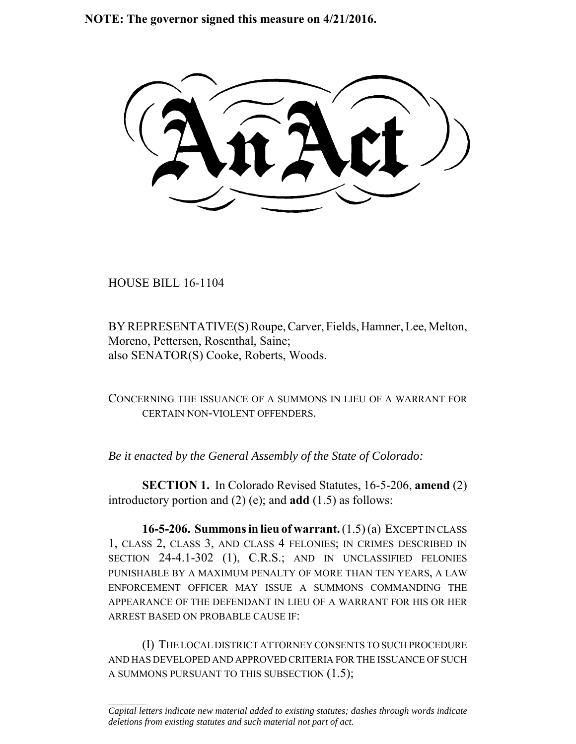**NOTE: The governor signed this measure on 4/21/2016.**

HOUSE BILL 16-1104

 $\frac{1}{2}$ 

BY REPRESENTATIVE(S) Roupe, Carver, Fields, Hamner, Lee, Melton, Moreno, Pettersen, Rosenthal, Saine; also SENATOR(S) Cooke, Roberts, Woods.

CONCERNING THE ISSUANCE OF A SUMMONS IN LIEU OF A WARRANT FOR CERTAIN NON-VIOLENT OFFENDERS.

*Be it enacted by the General Assembly of the State of Colorado:*

**SECTION 1.** In Colorado Revised Statutes, 16-5-206, **amend** (2) introductory portion and (2) (e); and **add** (1.5) as follows:

**16-5-206. Summons in lieu of warrant.** (1.5) (a) EXCEPT IN CLASS 1, CLASS 2, CLASS 3, AND CLASS 4 FELONIES; IN CRIMES DESCRIBED IN SECTION 24-4.1-302 (1), C.R.S.; AND IN UNCLASSIFIED FELONIES PUNISHABLE BY A MAXIMUM PENALTY OF MORE THAN TEN YEARS, A LAW ENFORCEMENT OFFICER MAY ISSUE A SUMMONS COMMANDING THE APPEARANCE OF THE DEFENDANT IN LIEU OF A WARRANT FOR HIS OR HER ARREST BASED ON PROBABLE CAUSE IF:

(I) THE LOCAL DISTRICT ATTORNEY CONSENTS TO SUCH PROCEDURE AND HAS DEVELOPED AND APPROVED CRITERIA FOR THE ISSUANCE OF SUCH A SUMMONS PURSUANT TO THIS SUBSECTION (1.5);

*Capital letters indicate new material added to existing statutes; dashes through words indicate deletions from existing statutes and such material not part of act.*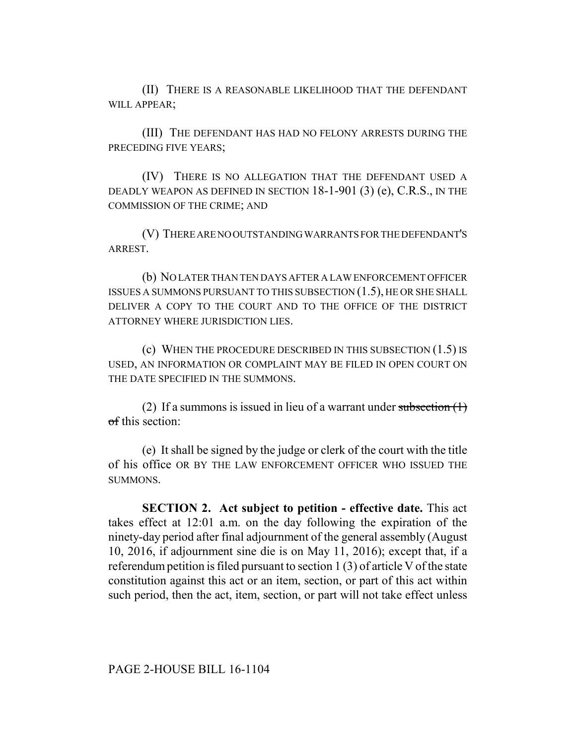(II) THERE IS A REASONABLE LIKELIHOOD THAT THE DEFENDANT WILL APPEAR:

(III) THE DEFENDANT HAS HAD NO FELONY ARRESTS DURING THE PRECEDING FIVE YEARS;

(IV) THERE IS NO ALLEGATION THAT THE DEFENDANT USED A DEADLY WEAPON AS DEFINED IN SECTION 18-1-901 (3) (e), C.R.S., IN THE COMMISSION OF THE CRIME; AND

(V) THERE ARE NO OUTSTANDING WARRANTS FOR THE DEFENDANT'S ARREST.

(b) NO LATER THAN TEN DAYS AFTER A LAW ENFORCEMENT OFFICER ISSUES A SUMMONS PURSUANT TO THIS SUBSECTION (1.5), HE OR SHE SHALL DELIVER A COPY TO THE COURT AND TO THE OFFICE OF THE DISTRICT ATTORNEY WHERE JURISDICTION LIES.

(c) WHEN THE PROCEDURE DESCRIBED IN THIS SUBSECTION (1.5) IS USED, AN INFORMATION OR COMPLAINT MAY BE FILED IN OPEN COURT ON THE DATE SPECIFIED IN THE SUMMONS.

(2) If a summons is issued in lieu of a warrant under subsection  $(1)$ of this section:

(e) It shall be signed by the judge or clerk of the court with the title of his office OR BY THE LAW ENFORCEMENT OFFICER WHO ISSUED THE SUMMONS.

**SECTION 2. Act subject to petition - effective date.** This act takes effect at 12:01 a.m. on the day following the expiration of the ninety-day period after final adjournment of the general assembly (August 10, 2016, if adjournment sine die is on May 11, 2016); except that, if a referendum petition is filed pursuant to section 1 (3) of article V of the state constitution against this act or an item, section, or part of this act within such period, then the act, item, section, or part will not take effect unless